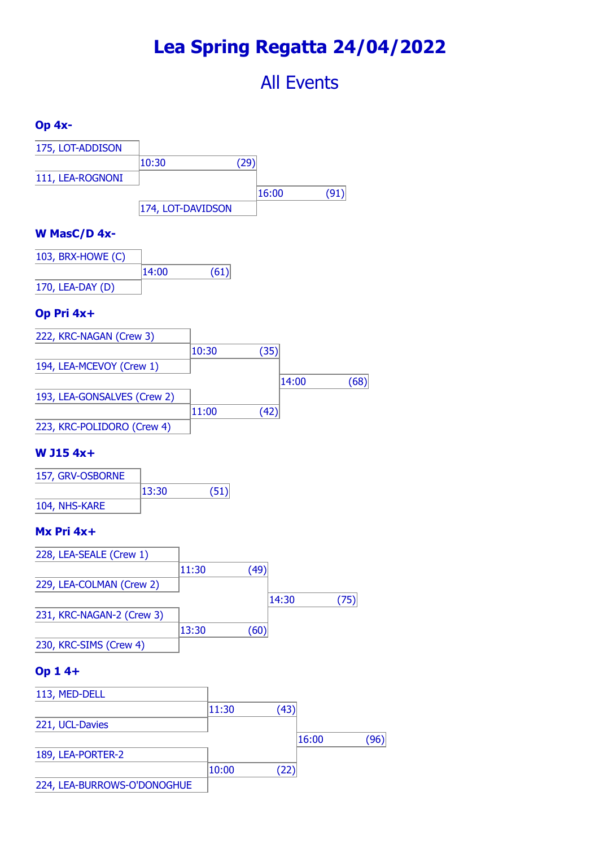# **Lea Spring Regatta 24/04/2022**

# All Events

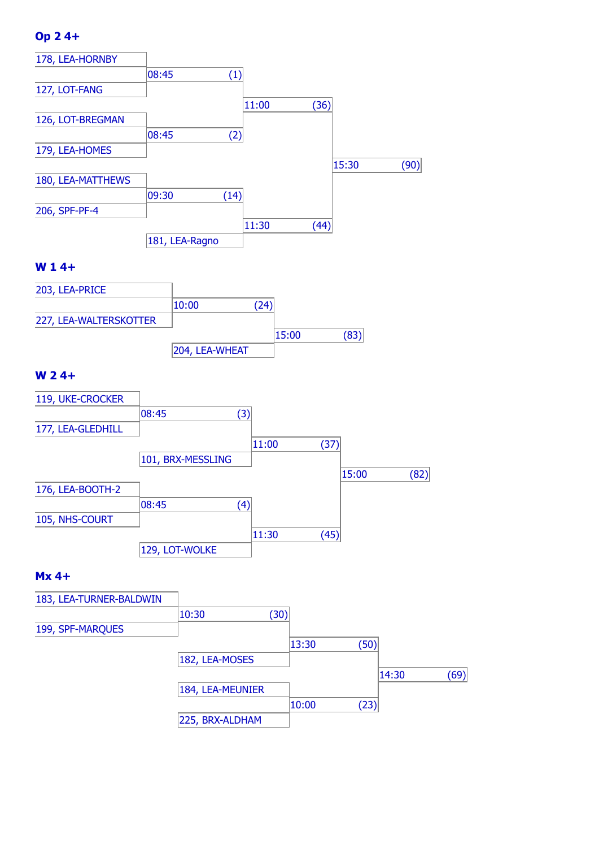# **Op 2 4+**



#### **W 1 4+**



## **W 2 4+**



#### **Mx 4+**

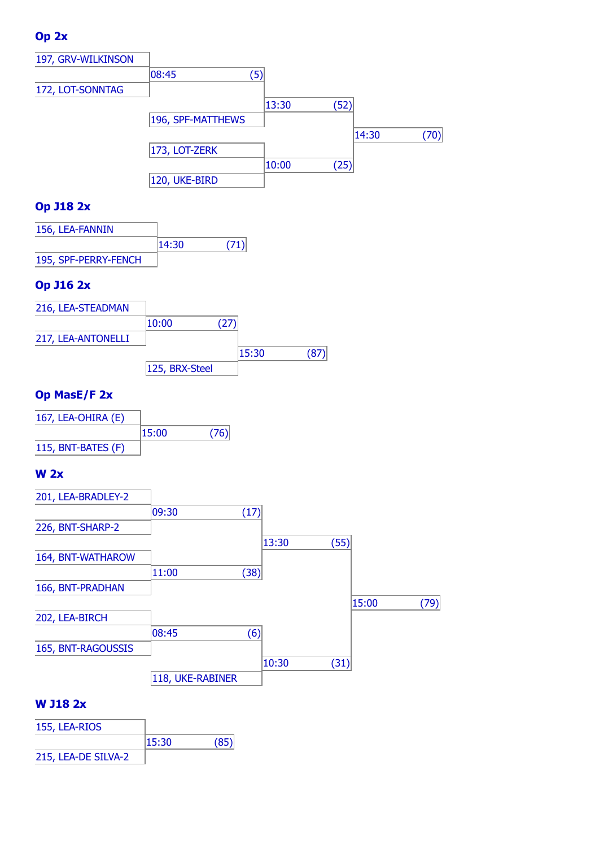# **Op 2x**



# **Op J18 2x**

| 156, LEA-FANNIN      |       |      |
|----------------------|-------|------|
|                      | 14:30 | (71) |
| 195, SPF-PERRY-FENCH |       |      |

# **Op J16 2x**



## **Op MasE/F 2x**

| 167, LEA-OHIRA (E) |       |      |
|--------------------|-------|------|
|                    | 15:00 | (76) |
| 115, BNT-BATES (F) |       |      |

## **W 2x**



## **W J18 2x**

| 155, LEA-RIOS       |       |  |
|---------------------|-------|--|
|                     | 15:30 |  |
| 215, LEA-DE SILVA-2 |       |  |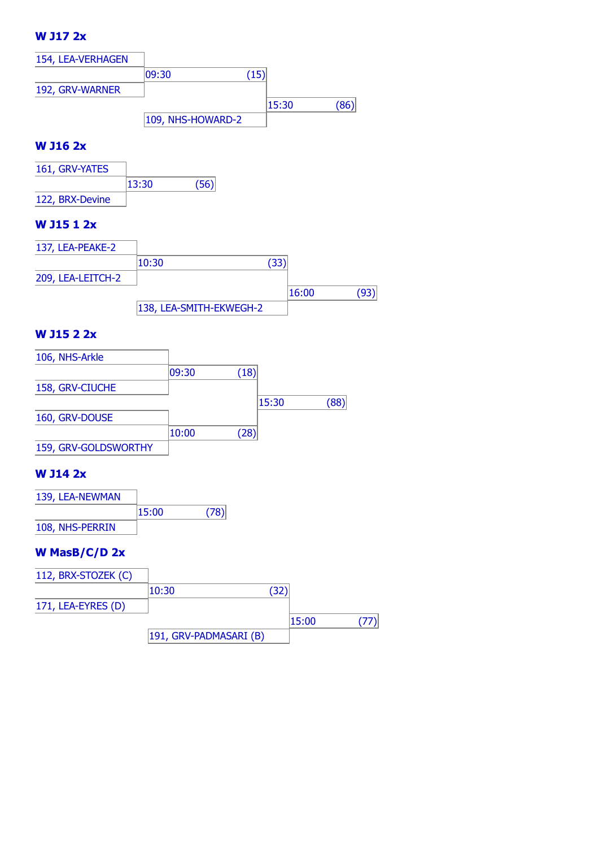# **W J17 2x**



#### **W J16 2x**



#### **W J15 1 2x**

| 137, LEA-PEAKE-2  |                         |     |       |  |
|-------------------|-------------------------|-----|-------|--|
|                   | 10:30                   | (33 |       |  |
| 209, LEA-LEITCH-2 |                         |     |       |  |
|                   |                         |     | 16:00 |  |
|                   | 138, LEA-SMITH-EKWEGH-2 |     |       |  |

#### **W J15 2 2x**

| 106, NHS-Arkle       |       |                   |       |      |
|----------------------|-------|-------------------|-------|------|
|                      | 09:30 | (18)              |       |      |
| 158, GRV-CIUCHE      |       |                   |       |      |
|                      |       |                   | 15:30 | (88) |
| 160, GRV-DOUSE       |       |                   |       |      |
|                      | 10:00 | $\left[28\right]$ |       |      |
| 159, GRV-GOLDSWORTHY |       |                   |       |      |

#### **W J14 2x**

| 139, LEA-NEWMAN |       |      |
|-----------------|-------|------|
|                 | 15:00 | (78) |
| 108, NHS-PERRIN |       |      |

## **W MasB/C/D 2x**

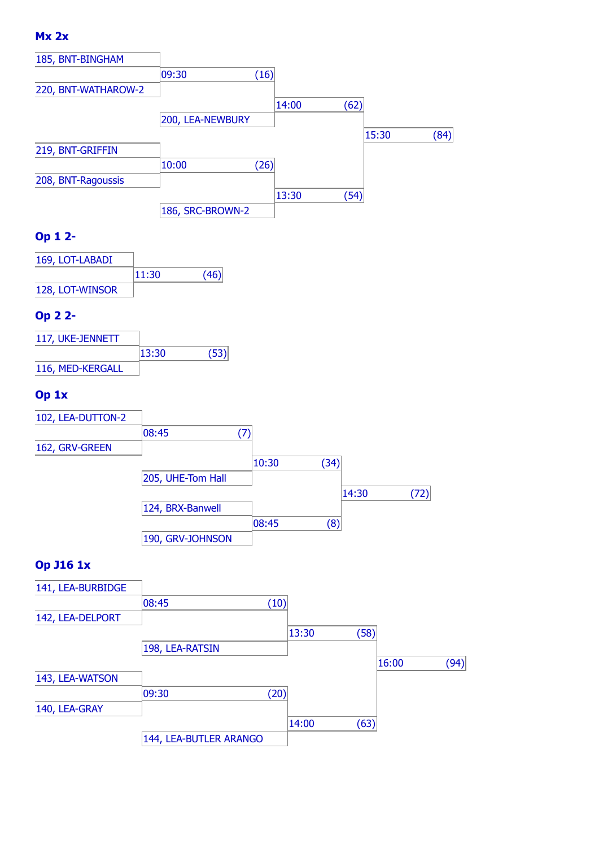## **Mx 2x**



# **Op 1 2-**

| 169, LOT-LABADI |       |      |
|-----------------|-------|------|
|                 | 11:30 | (46) |
| 128, LOT-WINSOR |       |      |

## **Op 2 2-**

| 117, UKE-JENNETT |       |      |
|------------------|-------|------|
|                  | 13:30 | (53) |
| 116, MED-KERGALL |       |      |

# **Op 1x**



# **Op J16 1x**

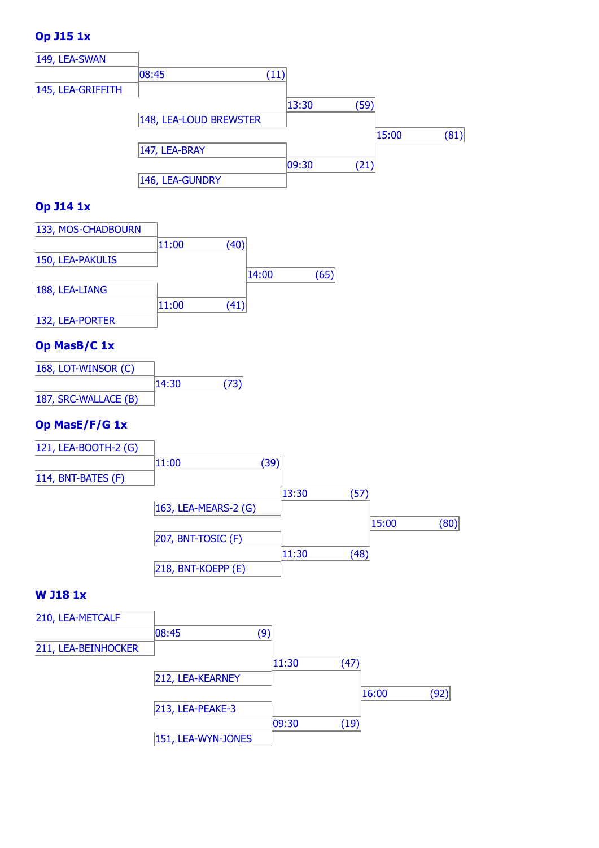# **Op J15 1x**



## **Op J14 1x**

| 133, MOS-CHADBOURN |       |      |       |    |
|--------------------|-------|------|-------|----|
|                    | 11:00 | (40) |       |    |
| 150, LEA-PAKULIS   |       |      |       |    |
|                    |       |      | 14:00 | 65 |
| 188, LEA-LIANG     |       |      |       |    |
|                    | 11:00 | .41  |       |    |
| 132, LEA-PORTER    |       |      |       |    |

## **Op MasB/C 1x**

| 168, LOT-WINSOR (C)  |       |      |
|----------------------|-------|------|
|                      | 14:30 | (73) |
| 187, SRC-WALLACE (B) |       |      |

## **Op MasE/F/G 1x**



#### **W J18 1x**